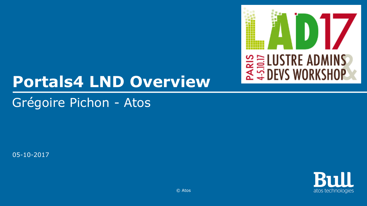

## **Portals4 LND Overview**

Grégoire Pichon - Atos

05-10-2017

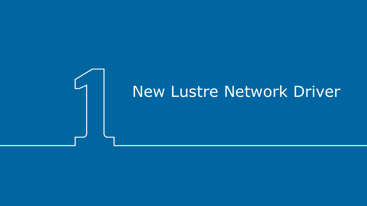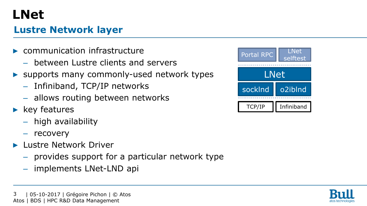## **LNet**

### **Lustre Network layer**

- communication infrastructure
	- between Lustre clients and servers
- ▶ supports many commonly-used network types
	- Infiniband, TCP/IP networks
	- allows routing between networks
- $\blacktriangleright$  key features
	- high availability
	- recovery
- **Lustre Network Driver** 
	- provides support for a particular network type
	- implements LNet-LND api



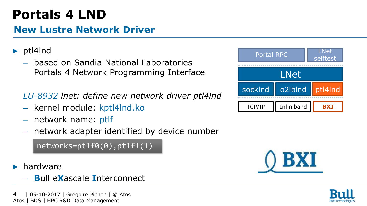## **Portals 4 LND**

### **New Lustre Network Driver**

### ▶ ptl4lnd

- based on Sandia National Laboratories Portals 4 Network Programming Interface
- *LU-8932 lnet: define new network driver ptl4lnd*
- kernel module: kptl4lnd.ko
- network name: ptlf
- network adapter identified by device number

networks=ptlf0(0),ptlf1(1)

- $\blacktriangleright$  hardware
	- **B**ull e**X**ascale **I**nterconnect

 | 05-10-2017 | Grégoire Pichon | © Atos Atos | BDS | HPC R&D Data Management 4





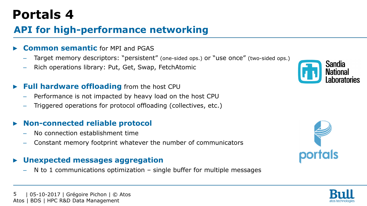## **Portals 4**

### **API for high-performance networking**

#### **Common semantic for MPI and PGAS**

- Target memory descriptors: "persistent" (one-sided ops.) or "use once" (two-sided ops.)
- Rich operations library: Put, Get, Swap, FetchAtomic

### **Full hardware offloading** from the host CPU

- Performance is not impacted by heavy load on the host CPU
- Triggered operations for protocol offloading (collectives, etc.)

### ▶ **Non-connected reliable protocol**

- No connection establishment time
- Constant memory footprint whatever the number of communicators

### ▶ **Unexpected messages aggregation**

N to 1 communications optimization – single buffer for multiple messages





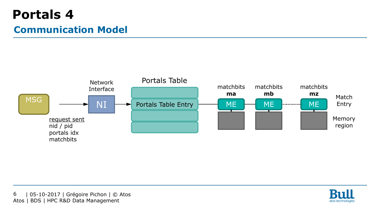### **Portals 4 Communication Model**



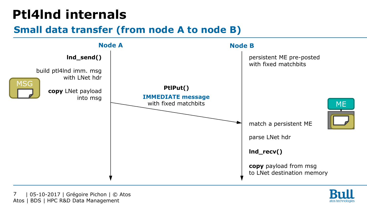## **Ptl4lnd internals**

### **Small data transfer (from node A to node B)**



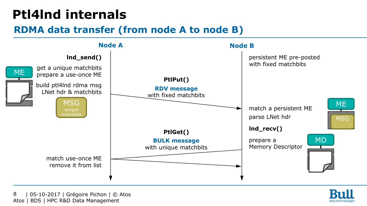### **Ptl4lnd internals**

### **RDMA data transfer (from node A to node B)**



 | 05-10-2017 | Grégoire Pichon | © Atos Atos | BDS | HPC R&D Data Management 8

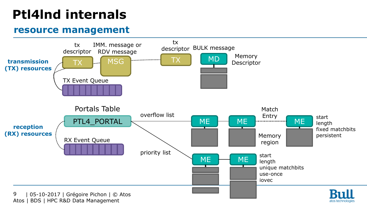## **Ptl4lnd internals**

### **resource management**

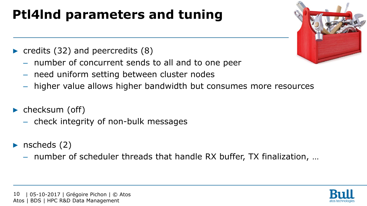## **Ptl4lnd parameters and tuning**

- $\triangleright$  credits (32) and peercredits (8)
	- number of concurrent sends to all and to one peer
	- need uniform setting between cluster nodes
	- higher value allows higher bandwidth but consumes more resources
- checksum (off)
	- check integrity of non-bulk messages
- nscheds  $(2)$ 
	- number of scheduler threads that handle RX buffer, TX finalization, …



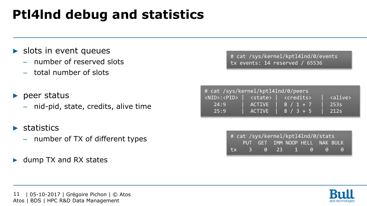## **Ptl4lnd debug and statistics**

- $\blacktriangleright$  slots in event queues
	- number of reserved slots
	- total number of slots
- $\blacktriangleright$  peer status
	- nid-pid, state, credits, alive time
- $\blacktriangleright$  statistics
	- number of TX of different types
- ▶ dump TX and RX states

# cat /sys/kernel/kptl4lnd/0/events tx events: 14 reserved / 65536

| # cat /sys/kernel/kptl4lnd/0/peers |                     |                                                                                   |              |  |  |  |  |  |  |  |
|------------------------------------|---------------------|-----------------------------------------------------------------------------------|--------------|--|--|--|--|--|--|--|
|                                    |                     | <nid>:<pid>   <state>   <credits>   <alive></alive></credits></state></pid></nid> |              |  |  |  |  |  |  |  |
| 24:9                               |                     | $ACTIVE$ 8 / 1 + 7                                                                | 253s         |  |  |  |  |  |  |  |
| 25:9                               | II ACTIV <u>E '</u> | $8 / 3 + 5$                                                                       | $\vert$ 212s |  |  |  |  |  |  |  |

| # cat /sys/kernel/kptl4lnd/0/stats |  |  |  |  |                                |  |  |  |
|------------------------------------|--|--|--|--|--------------------------------|--|--|--|
|                                    |  |  |  |  | PUT GET IMM NOOP HELL NAK BULK |  |  |  |
|                                    |  |  |  |  | tx 3 0 23 1 0 0                |  |  |  |

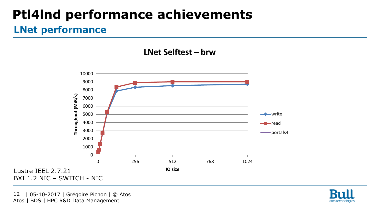## **Ptl4lnd performance achievements**

### **LNet performance**

**LNet Selftest – brw**



 | 05-10-2017 | Grégoire Pichon | © Atos Atos | BDS | HPC R&D Data Management 12

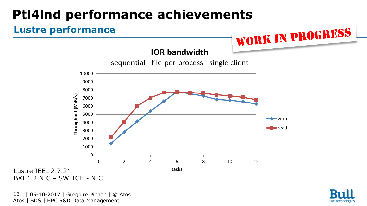## **Ptl4lnd performance achievements**

### **Lustre performance**





 | 05-10-2017 | Grégoire Pichon | © Atos Atos | BDS | HPC R&D Data Management 13



WORK IN PROGRESS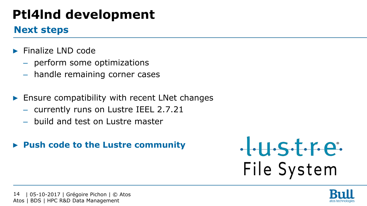## **Ptl4lnd development**

### **Next steps**

- ▶ Finalize LND code
	- perform some optimizations
	- handle remaining corner cases
- Ensure compatibility with recent LNet changes
	- currently runs on Lustre IEEL 2.7.21
	- build and test on Lustre master
- ▶ **Push code to the Lustre community**



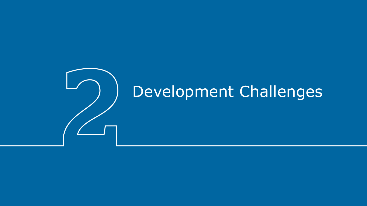# Development Challenges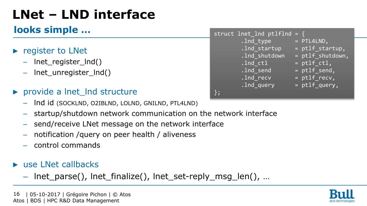## **LNet – LND interface**

### **looks simple …**

- ▶ register to LNet
	- lnet\_register\_lnd()
	- $-$  lnet unregister lnd()
- ▶ provide a lnet lnd structure
	- lnd id (SOCKLND, O2IBLND, LOLND, GNILND, PTL4LND)
	- startup/shutdown network communication on the network interface
	- send/receive LNet message on the network interface
	- notification /query on peer health / aliveness
	- control commands
- ▶ use LNet callbacks
	- lnet\_parse(), lnet\_finalize(), lnet\_set-reply\_msg\_len(), …



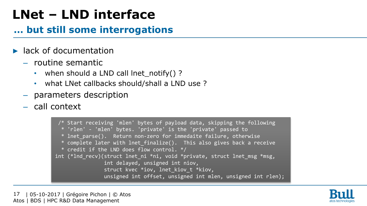## **LNet – LND interface**

### **… but still some interrogations**

- $\blacktriangleright$  lack of documentation
	- routine semantic
		- when should a LND call lnet\_notify()?
		- what LNet callbacks should/shall a LND use ?
	- parameters description
	- call context

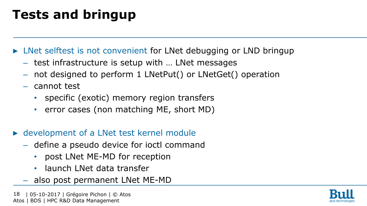## **Tests and bringup**

▶ LNet selftest is not convenient for LNet debugging or LND bringup

- test infrastructure is setup with … LNet messages
- not designed to perform 1 LNetPut() or LNetGet() operation
- cannot test
	- specific (exotic) memory region transfers
	- error cases (non matching ME, short MD)
- ▶ development of a LNet test kernel module
	- define a pseudo device for ioctl command
		- post LNet ME-MD for reception
		- launch LNet data transfer
	- also post permanent LNet ME-MD

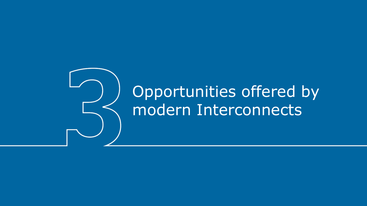## Opportunities offered by modern Interconnects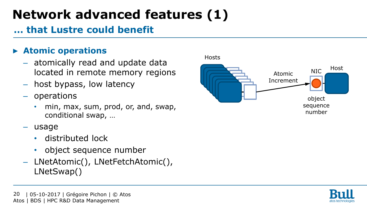## **Network advanced features (1)**

### **… that Lustre could benefit**

### ▶ **Atomic operations**

- atomically read and update data located in remote memory regions
- host bypass, low latency
- operations
	- min, max, sum, prod, or, and, swap, conditional swap, …
- usage
	- distributed lock
	- object sequence number
- LNetAtomic(), LNetFetchAtomic(), LNetSwap()



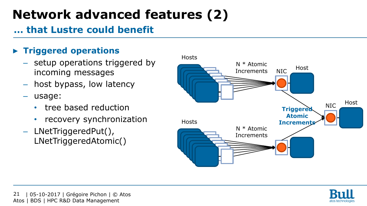## **Network advanced features (2)**

### **… that Lustre could benefit**

### ▶ **Triggered operations**

- setup operations triggered by incoming messages
- host bypass, low latency
- usage:
	- tree based reduction
	- recovery synchronization
- LNetTriggeredPut(), LNetTriggeredAtomic()